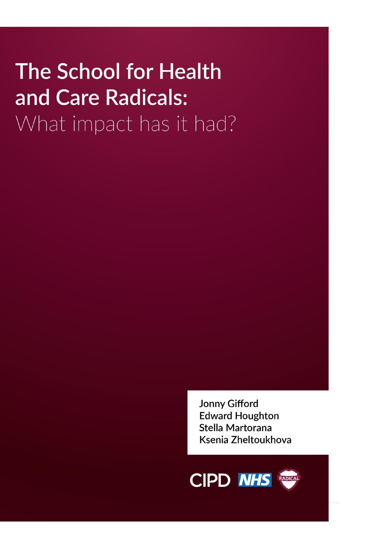# **The School for Health** and Care Radicals: What impact has it had?

**Jonny Gifford Edward Houghton** Stella Martorana Ksenia Zheltoukhova

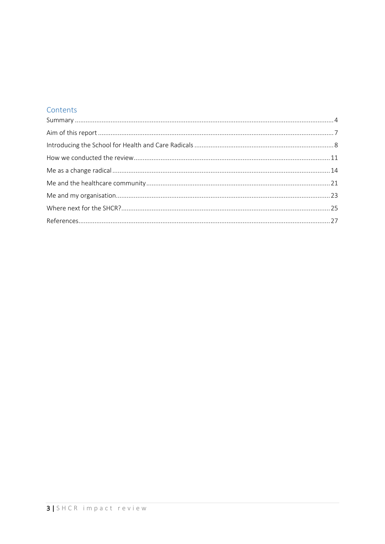### Contents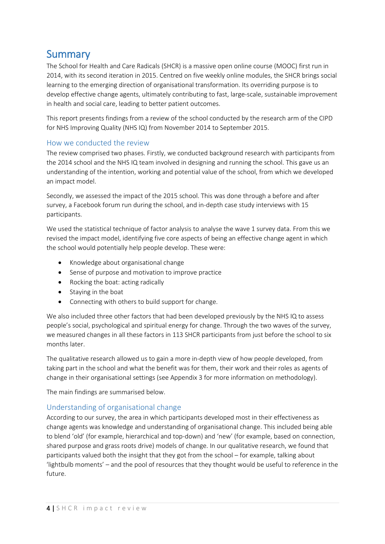<span id="page-3-0"></span>Summary<br>The School for Health and Care Radicals (SHCR) is a massive open online course (MOOC) first run in 2014, with its second iteration in 2015. Centred on five weekly online modules, the SHCR brings social learning to the emerging direction of organisational transformation. Its overriding purpose is to develop effective change agents, ultimately contributing to fast, large-scale, sustainable improvement in health and social care, leading to better patient outcomes.

This report presents findings from a review of the school conducted by the research arm of the CIPD for NHS Improving Quality (NHS IQ) from November 2014 to September 2015.

### How we conducted the review

The review comprised two phases. Firstly, we conducted background research with participants from the 2014 school and the NHS IQ team involved in designing and running the school. This gave us an understanding of the intention, working and potential value of the school, from which we developed an impact model.

Secondly, we assessed the impact of the 2015 school. This was done through a before and after survey, a Facebook forum run during the school, and in-depth case study interviews with 15 participants.

We used the statistical technique of factor analysis to analyse the wave 1 survey data. From this we revised the impact model, identifying five core aspects of being an effective change agent in which the school would potentially help people develop. These were:

- Knowledge about organisational change
- Sense of purpose and motivation to improve practice
- Rocking the boat: acting radically
- Staying in the boat
- Connecting with others to build support for change.

We also included three other factors that had been developed previously by the NHS IQ to assess people's social, psychological and spiritual energy for change. Through the two waves of the survey, we measured changes in all these factors in 113 SHCR participants from just before the school to six months later.

The qualitative research allowed us to gain a more in-depth view of how people developed, from taking part in the school and what the benefit was for them, their work and their roles as agents of change in their organisational settings (see Appendix 3 for more information on methodology).

The main findings are summarised below.

#### Understanding of organisational change

According to our survey, the area in which participants developed most in their effectiveness as change agents was knowledge and understanding of organisational change. This included being able to blend 'old' (for example, hierarchical and top-down) and 'new' (for example, based on connection, shared purpose and grass roots drive) models of change. In our qualitative research, we found that participants valued both the insight that they got from the school – for example, talking about 'lightbulb moments' – and the pool of resources that they thought would be useful to reference in the future.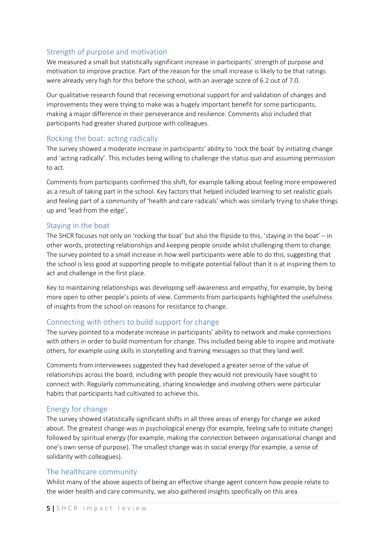#### Strength of purpose and motivation

We measured a small but statistically significant increase in participants' strength of purpose and motivation to improve practice. Part of the reason for the small increase is likely to be that ratings were already very high for this before the school, with an average score of 6.2 out of 7.0.

Our qualitative research found that receiving emotional support for and validation of changes and improvements they were trying to make was a hugely important benefit for some participants, making a major difference in their perseverance and resilience. Comments also included that participants had greater shared purpose with colleagues.

#### Rocking the boat: acting radically

The survey showed a moderate increase in participants' ability to 'rock the boat' by initiating change and 'acting radically'. This includes being willing to challenge the status quo and assuming permission to act.

Comments from participants confirmed this shift, for example talking about feeling more empowered as a result of taking part in the school. Key factors that helped included learning to set realistic goals and feeling part of a community of 'health and care radicals' which was similarly trying to shake things up and 'lead from the edge'.

#### Staying in the boat

The SHCR focuses not only on 'rocking the boat' but also the flipside to this, 'staying in the boat' – in other words, protecting relationships and keeping people onside whilst challenging them to change. The survey pointed to a small increase in how well participants were able to do this, suggesting that the school is less good at supporting people to mitigate potential fallout than it is at inspiring them to act and challenge in the first place.

Key to maintaining relationships was developing self-awareness and empathy, for example, by being more open to other people's points of view. Comments from participants highlighted the usefulness of insights from the school on reasons for resistance to change.

#### Connecting with others to build support for change

The survey pointed to a moderate increase in participants' ability to network and make connections with others in order to build momentum for change. This included being able to inspire and motivate others, for example using skills in storytelling and framing messages so that they land well.

Comments from interviewees suggested they had developed a greater sense of the value of relationships across the board, including with people they would not previously have sought to connect with. Regularly communicating, sharing knowledge and involving others were particular habits that participants had cultivated to achieve this.

#### Energy for change

The survey showed statistically significant shifts in all three areas of energy for change we asked about. The greatest change was in psychological energy (for example, feeling safe to initiate change) followed by spiritual energy (for example, making the connection between organisational change and one's own sense of purpose). The smallest change was in social energy (for example, a sense of solidarity with colleagues).

#### The healthcare community

Whilst many of the above aspects of being an effective change agent concern how people relate to the wider health and care community, we also gathered insights specifically on this area.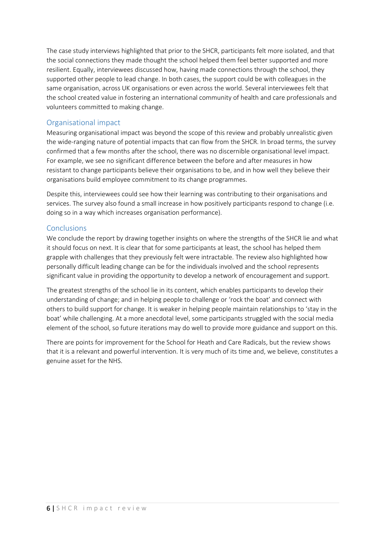The case study interviews highlighted that prior to the SHCR, participants felt more isolated, and that the social connections they made thought the school helped them feel better supported and more resilient. Equally, interviewees discussed how, having made connections through the school, they supported other people to lead change. In both cases, the support could be with colleagues in the same organisation, across UK organisations or even across the world. Several interviewees felt that the school created value in fostering an international community of health and care professionals and volunteers committed to making change.

#### Organisational impact

Measuring organisational impact was beyond the scope of this review and probably unrealistic given the wide-ranging nature of potential impacts that can flow from the SHCR. In broad terms, the survey confirmed that a few months after the school, there was no discernible organisational level impact. For example, we see no significant difference between the before and after measures in how resistant to change participants believe their organisations to be, and in how well they believe their organisations build employee commitment to its change programmes.

Despite this, interviewees could see how their learning was contributing to their organisations and services. The survey also found a small increase in how positively participants respond to change (i.e. doing so in a way which increases organisation performance).

#### Conclusions

We conclude the report by drawing together insights on where the strengths of the SHCR lie and what it should focus on next. It is clear that for some participants at least, the school has helped them grapple with challenges that they previously felt were intractable. The review also highlighted how personally difficult leading change can be for the individuals involved and the school represents significant value in providing the opportunity to develop a network of encouragement and support.

The greatest strengths of the school lie in its content, which enables participants to develop their understanding of change; and in helping people to challenge or 'rock the boat' and connect with others to build support for change. It is weaker in helping people maintain relationships to 'stay in the boat' while challenging. At a more anecdotal level, some participants struggled with the social media element of the school, so future iterations may do well to provide more guidance and support on this.

There are points for improvement for the School for Heath and Care Radicals, but the review shows that it is a relevant and powerful intervention. It is very much of its time and, we believe, constitutes a genuine asset for the NHS.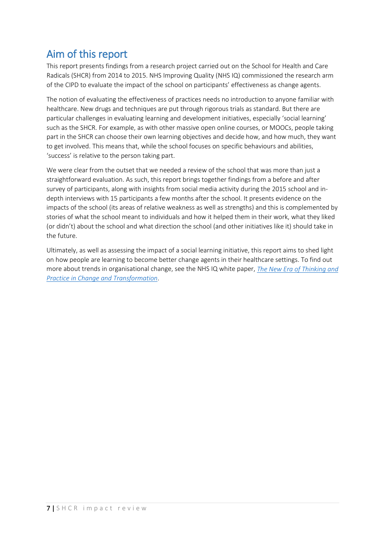<span id="page-6-0"></span>Aim of this report<br>This report presents findings from a research project carried out on the School for Health and Care Radicals (SHCR) from 2014 to 2015. NHS Improving Quality (NHS IQ) commissioned the research arm of the CIPD to evaluate the impact of the school on participants' effectiveness as change agents.

The notion of evaluating the effectiveness of practices needs no introduction to anyone familiar with healthcare. New drugs and techniques are put through rigorous trials as standard. But there are particular challenges in evaluating learning and development initiatives, especially 'social learning' such as the SHCR. For example, as with other massive open online courses, or MOOCs, people taking part in the SHCR can choose their own learning objectives and decide how, and how much, they want to get involved. This means that, while the school focuses on specific behaviours and abilities, 'success' is relative to the person taking part.

We were clear from the outset that we needed a review of the school that was more than just a straightforward evaluation. As such, this report brings together findings from a before and after survey of participants, along with insights from social media activity during the 2015 school and indepth interviews with 15 participants a few months after the school. It presents evidence on the impacts of the school (its areas of relative weakness as well as strengths) and this is complemented by stories of what the school meant to individuals and how it helped them in their work, what they liked (or didn't) about the school and what direction the school (and other initiatives like it) should take in the future.

Ultimately, as well as assessing the impact of a social learning initiative, this report aims to shed light on how people are learning to become better change agents in their healthcare settings. To find out more about trends in organisational change, see the NHS IQ white paper, *[The New Era of Thinking and](http://www.nhsiq.nhs.uk/resource-search/publications/white-paper.aspx#sthash.GX3duJ4f.dpuf)  [Practice in Change and Transformation](http://www.nhsiq.nhs.uk/resource-search/publications/white-paper.aspx#sthash.GX3duJ4f.dpuf)*.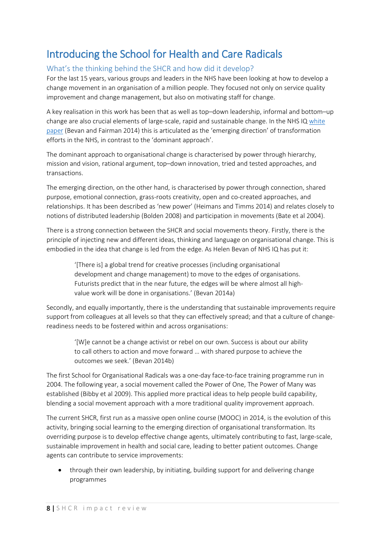## <span id="page-7-0"></span>Introducing the School for Health and Care Radicals

### What's the thinking behind the SHCR and how did it develop?

For the last 15 years, various groups and leaders in the NHS have been looking at how to develop a change movement in an organisation of a million people. They focused not only on service quality improvement and change management, but also on motivating staff for change.

A key realisation in this work has been that as well as top–down leadership, informal and bottom–up change are also crucial elements of large-scale, rapid and sustainable change. In the NHS IQ [white](http://www.nhsiq.nhs.uk/resource-search/publications/white-paper.aspx)  [paper](http://www.nhsiq.nhs.uk/resource-search/publications/white-paper.aspx) (Bevan and Fairman 2014) this is articulated as the 'emerging direction' of transformation efforts in the NHS, in contrast to the 'dominant approach'.

The dominant approach to organisational change is characterised by power through hierarchy, mission and vision, rational argument, top–down innovation, tried and tested approaches, and transactions.

The emerging direction, on the other hand, is characterised by power through connection, shared purpose, emotional connection, grass-roots creativity, open and co-created approaches, and relationships. It has been described as 'new power' (Heimans and Timms 2014) and relates closely to notions of distributed leadership (Bolden 2008) and participation in movements (Bate et al 2004).

There is a strong connection between the SHCR and social movements theory. Firstly, there is the principle of injecting new and different ideas, thinking and language on organisational change. This is embodied in the idea that change is led from the edge. As Helen Bevan of NHS IQ has put it:

'[There is] a global trend for creative processes (including organisational development and change management) to move to the edges of organisations. Futurists predict that in the near future, the edges will be where almost all highvalue work will be done in organisations.' (Bevan 2014a)

Secondly, and equally importantly, there is the understanding that sustainable improvements require support from colleagues at all levels so that they can effectively spread; and that a culture of changereadiness needs to be fostered within and across organisations:

'[W]e cannot be a change activist or rebel on our own. Success is about our ability to call others to action and move forward … with shared purpose to achieve the outcomes we seek.' (Bevan 2014b)

The first School for Organisational Radicals was a one-day face-to-face training programme run in 2004. The following year, a social movement called the Power of One, The Power of Many was established (Bibby et al 2009). This applied more practical ideas to help people build capability, blending a social movement approach with a more traditional quality improvement approach.

The current SHCR, first run as a massive open online course (MOOC) in 2014, is the evolution of this activity, bringing social learning to the emerging direction of organisational transformation. Its overriding purpose is to develop effective change agents, ultimately contributing to fast, large-scale, sustainable improvement in health and social care, leading to better patient outcomes. Change agents can contribute to service improvements:

• through their own leadership, by initiating, building support for and delivering change programmes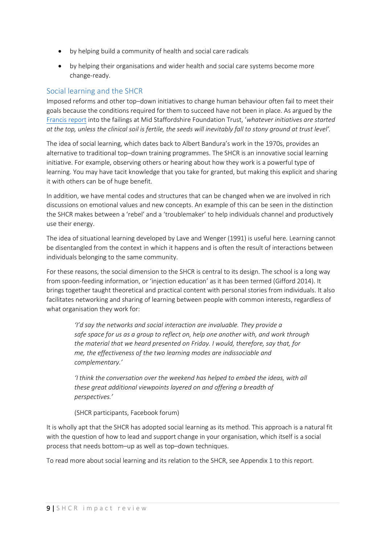- by helping build a community of health and social care radicals
- by helping their organisations and wider health and social care systems become more change-ready.

#### Social learning and the SHCR

Imposed reforms and other top–down initiatives to change human behaviour often fail to meet their goals because the conditions required for them to succeed have not been in place. As argued by the [Francis report](http://www.midstaffspublicinquiry.com/node/505) into the failings at Mid Staffordshire Foundation Trust, '*whatever initiatives are started at the top, unless the clinical soil is fertile, the seeds will inevitably fall to stony ground at trust level'.*

The idea of social learning, which dates back to Albert Bandura's work in the 1970s, provides an alternative to traditional top–down training programmes. The SHCR is an innovative social learning initiative. For example, observing others or hearing about how they work is a powerful type of learning. You may have tacit knowledge that you take for granted, but making this explicit and sharing it with others can be of huge benefit.

In addition, we have mental codes and structures that can be changed when we are involved in rich discussions on emotional values and new concepts. An example of this can be seen in the distinction the SHCR makes between a 'rebel' and a 'troublemaker' to help individuals channel and productively use their energy.

The idea of situational learning developed by Lave and Wenger (1991) is useful here. Learning cannot be disentangled from the context in which it happens and is often the result of interactions between individuals belonging to the same community.

For these reasons, the social dimension to the SHCR is central to its design. The school is a long way from spoon-feeding information, or 'injection education' as it has been termed (Gifford 2014). It brings together taught theoretical and practical content with personal stories from individuals. It also facilitates networking and sharing of learning between people with common interests, regardless of what organisation they work for:

*'I'd say the networks and social interaction are invaluable. They provide a safe space for us as a group to reflect on, help one another with, and work through the material that we heard presented on Friday. I would, therefore, say that, for me, the effectiveness of the two learning modes are indissociable and complementary.'*

*'I think the conversation over the weekend has helped to embed the ideas, with all these great additional viewpoints layered on and offering a breadth of perspectives.'*

(SHCR participants, Facebook forum)

It is wholly apt that the SHCR has adopted social learning as its method. This approach is a natural fit with the question of how to lead and support change in your organisation, which itself is a social process that needs bottom–up as well as top–down techniques.

To read more about social learning and its relation to the SHCR, see Appendix 1 to this report.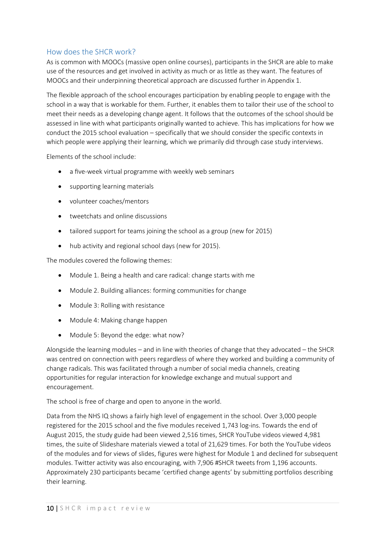### How does the SHCR work?

As is common with MOOCs (massive open online courses), participants in the SHCR are able to make use of the resources and get involved in activity as much or as little as they want. The features of MOOCs and their underpinning theoretical approach are discussed further in Appendix 1.

The flexible approach of the school encourages participation by enabling people to engage with the school in a way that is workable for them. Further, it enables them to tailor their use of the school to meet their needs as a developing change agent. It follows that the outcomes of the school should be assessed in line with what participants originally wanted to achieve. This has implications for how we conduct the 2015 school evaluation – specifically that we should consider the specific contexts in which people were applying their learning, which we primarily did through case study interviews.

Elements of the school include:

- a five-week virtual programme with weekly web seminars
- supporting learning materials
- volunteer coaches/mentors
- tweetchats and online discussions
- tailored support for teams joining the school as a group (new for 2015)
- hub activity and regional school days (new for 2015).

The modules covered the following themes:

- Module 1. Being a health and care radical: change starts with me
- Module 2. Building alliances: forming communities for change
- Module 3: Rolling with resistance
- Module 4: Making change happen
- Module 5: Beyond the edge: what now?

Alongside the learning modules – and in line with theories of change that they advocated – the SHCR was centred on connection with peers regardless of where they worked and building a community of change radicals. This was facilitated through a number of social media channels, creating opportunities for regular interaction for knowledge exchange and mutual support and encouragement.

The school is free of charge and open to anyone in the world.

Data from the NHS IQ shows a fairly high level of engagement in the school. Over 3,000 people registered for the 2015 school and the five modules received 1,743 log-ins. Towards the end of August 2015, the study guide had been viewed 2,516 times, SHCR YouTube videos viewed 4,981 times, the suite of Slideshare materials viewed a total of 21,629 times. For both the YouTube videos of the modules and for views of slides, figures were highest for Module 1 and declined for subsequent modules. Twitter activity was also encouraging, with 7,906 #SHCR tweets from 1,196 accounts. Approximately 230 participants became 'certified change agents' by submitting portfolios describing their learning.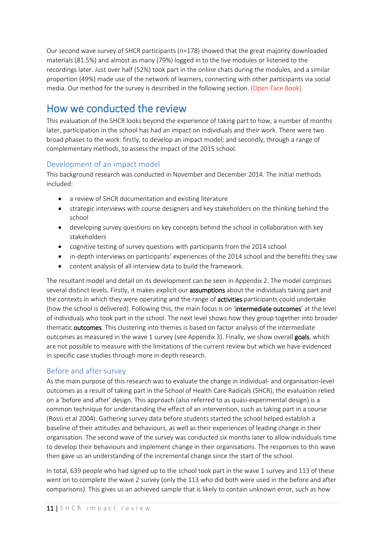Our second wave survey of SHCR participants (n=178) showed that the great majority downloaded materials (81.5%) and almost as many (79%) logged in to the live modules or listened to the recordings later. Just over half (52%) took part in the online chats during the modules, and a similar proportion (49%) made use of the network of learners, connecting with other participants via social media. Our method for the survey is described in the following section. (Open Face Book)

<span id="page-10-0"></span>How we conducted the review<br>This evaluation of the SHCR looks beyond the experience of taking part to how, a number of months later, participation in the school has had an impact on individuals and their work. There were two broad phases to the work: firstly, to develop an impact model; and secondly, through a range of complementary methods, to assess the impact of the 2015 school.

### Development of an impact model

This background research was conducted in November and December 2014. The initial methods included:

- a review of SHCR documentation and existing literature
- strategic interviews with course designers and key stakeholders on the thinking behind the school
- developing survey questions on key concepts behind the school in collaboration with key stakeholders
- cognitive testing of survey questions with participants from the 2014 school
- in-depth interviews on participants' experiences of the 2014 school and the benefits they saw
- content analysis of all interview data to build the framework.

The resultant model and detail on its development can be seen in Appendix 2. The model comprises several distinct levels. Firstly, it makes explicit our **assumptions** about the individuals taking part and the contexts in which they were operating and the range of **activities** participants could undertake (how the school is delivered). Following this, the main focus is on 'intermediate outcomes' at the level of individuals who took part in the school. The next level shows how they group together into broader thematic outcomes. This clustering into themes is based on factor analysis of the intermediate outcomes as measured in the wave 1 survey (see Appendix 3). Finally, we show overall goals, which are not possible to measure with the limitations of the current review but which we have evidenced in specific case studies through more in-depth research.

#### Before and after survey

As the main purpose of this research was to evaluate the change in individual- and organisation-level outcomes as a result of taking part in the School of Health Care Radicals (SHCR), the evaluation relied on a 'before and after' design. This approach (also referred to as quasi-experimental design) is a common technique for understanding the effect of an intervention, such as taking part in a course (Rossi et al 2004). Gathering survey data before students started the school helped establish a baseline of their attitudes and behaviours, as well as their experiences of leading change in their organisation. The second wave of the survey was conducted six months later to allow individuals time to develop their behaviours and implement change in their organisations. The responses to this wave then gave us an understanding of the incremental change since the start of the school.

In total, 639 people who had signed up to the school took part in the wave 1 survey and 113 of these went on to complete the wave 2 survey (only the 113 who did both were used in the before and after comparisons). This gives us an achieved sample that is likely to contain unknown error, such as how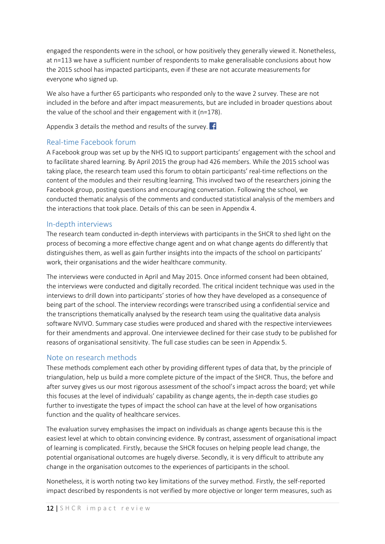engaged the respondents were in the school, or how positively they generally viewed it. Nonetheless, at n=113 we have a sufficient number of respondents to make generalisable conclusions about how the 2015 school has impacted participants, even if these are not accurate measurements for everyone who signed up.

We also have a further 65 participants who responded only to the wave 2 survey. These are not included in the before and after impact measurements, but are included in broader questions about the value of the school and their engagement with it (n=178).

Appendix 3 details the method and results of the survey.  $\mathbf{f}$ 

### Real-time Facebook forum

A Facebook group was set up by the NHS IQ to support participants' engagement with the school and to facilitate shared learning. By April 2015 the group had 426 members. While the 2015 school was taking place, the research team used this forum to obtain participants' real-time reflections on the content of the modules and their resulting learning. This involved two of the researchers joining the Facebook group, posting questions and encouraging conversation. Following the school, we conducted thematic analysis of the comments and conducted statistical analysis of the members and the interactions that took place. Details of this can be seen in Appendix 4.

#### In-depth interviews

The research team conducted in-depth interviews with participants in the SHCR to shed light on the process of becoming a more effective change agent and on what change agents do differently that distinguishes them, as well as gain further insights into the impacts of the school on participants' work, their organisations and the wider healthcare community.

The interviews were conducted in April and May 2015. Once informed consent had been obtained, the interviews were conducted and digitally recorded. The critical incident technique was used in the interviews to drill down into participants' stories of how they have developed as a consequence of being part of the school. The interview recordings were transcribed using a confidential service and the transcriptions thematically analysed by the research team using the qualitative data analysis software NVIVO. Summary case studies were produced and shared with the respective interviewees for their amendments and approval. One interviewee declined for their case study to be published for reasons of organisational sensitivity. The full case studies can be seen in Appendix 5.

#### Note on research methods

These methods complement each other by providing different types of data that, by the principle of triangulation, help us build a more complete picture of the impact of the SHCR. Thus, the before and after survey gives us our most rigorous assessment of the school's impact across the board; yet while this focuses at the level of individuals' capability as change agents, the in-depth case studies go further to investigate the types of impact the school can have at the level of how organisations function and the quality of healthcare services.

The evaluation survey emphasises the impact on individuals as change agents because this is the easiest level at which to obtain convincing evidence. By contrast, assessment of organisational impact of learning is complicated. Firstly, because the SHCR focuses on helping people lead change, the potential organisational outcomes are hugely diverse. Secondly, it is very difficult to attribute any change in the organisation outcomes to the experiences of participants in the school.

Nonetheless, it is worth noting two key limitations of the survey method. Firstly, the self-reported impact described by respondents is not verified by more objective or longer term measures, such as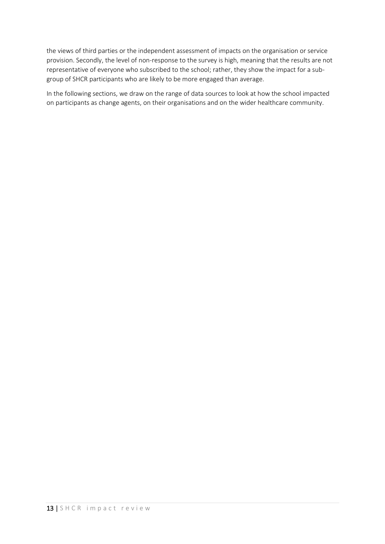the views of third parties or the independent assessment of impacts on the organisation or service provision. Secondly, the level of non-response to the survey is high, meaning that the results are not representative of everyone who subscribed to the school; rather, they show the impact for a subgroup of SHCR participants who are likely to be more engaged than average.

In the following sections, we draw on the range of data sources to look at how the school impacted on participants as change agents, on their organisations and on the wider healthcare community.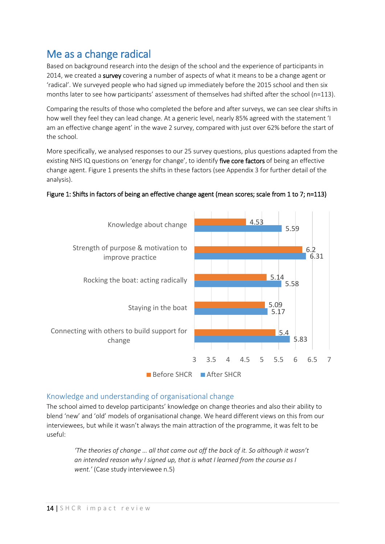<span id="page-13-0"></span>Me as a change radical<br>Based on background research into the design of the school and the experience of participants in 2014, we created a survey covering a number of aspects of what it means to be a change agent or 'radical'. We surveyed people who had signed up immediately before the 2015 school and then six months later to see how participants' assessment of themselves had shifted after the school (n=113).

Comparing the results of those who completed the before and after surveys, we can see clear shifts in how well they feel they can lead change. At a generic level, nearly 85% agreed with the statement 'I am an effective change agent' in the wave 2 survey, compared with just over 62% before the start of the school.

More specifically, we analysed responses to our 25 survey questions, plus questions adapted from the existing NHS IQ questions on 'energy for change', to identify five core factors of being an effective change agent. Figure 1 presents the shifts in these factors (see Appendix 3 for further detail of the analysis).



#### Figure 1: Shifts in factors of being an effective change agent (mean scores; scale from 1 to 7; n=113)

#### Knowledge and understanding of organisational change

The school aimed to develop participants' knowledge on change theories and also their ability to blend 'new' and 'old' models of organisational change. We heard different views on this from our interviewees, but while it wasn't always the main attraction of the programme, it was felt to be useful:

> *'The theories of change … all that came out off the back of it. So although it wasn't an intended reason why I signed up, that is what I learned from the course as I went.'* (Case study interviewee n.5)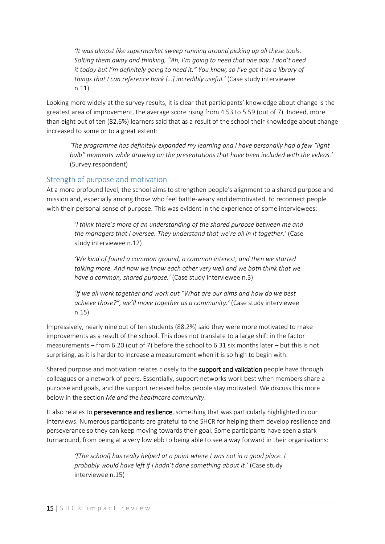*'It was almost like supermarket sweep running around picking up all these tools. Salting them away and thinking, "Ah, I'm going to need that one day. I don't need it today but I'm definitely going to need it." You know, so I've got it as a library of things that I can reference back […] incredibly useful.'* (Case study interviewee n.11)

Looking more widely at the survey results, it is clear that participants' knowledge about change is the greatest area of improvement, the average score rising from 4.53 to 5.59 (out of 7). Indeed, more than eight out of ten (82.6%) learners said that as a result of the school their knowledge about change increased to some or to a great extent:

*'The programme has definitely expanded my learning and I have personally had a few "light bulb" moments while drawing on the presentations that have been included with the videos.'* (Survey respondent)

#### Strength of purpose and motivation

At a more profound level, the school aims to strengthen people's alignment to a shared purpose and mission and, especially among those who feel battle-weary and demotivated, to reconnect people with their personal sense of purpose. This was evident in the experience of some interviewees:

*'I think there's more of an understanding of the shared purpose between me and the managers that I oversee. They understand that we're all in it together.'* (Case study interviewee n.12)

*'We kind of found a common ground, a common interest, and then we started talking more. And now we know each other very well and we both think that we have a common, shared purpose.'* (Case study interviewee n.3)

*'If we all work together and work out "What are our aims and how do we best achieve those?", we'll move together as a community.'* (Case study interviewee n.15)

Impressively, nearly nine out of ten students (88.2%) said they were more motivated to make improvements as a result of the school. This does not translate to a large shift in the factor measurements – from 6.20 (out of 7) before the school to 6.31 six months later – but this is not surprising, as it is harder to increase a measurement when it is so high to begin with.

Shared purpose and motivation relates closely to the **support and validation** people have through colleagues or a network of peers. Essentially, support networks work best when members share a purpose and goals, and the support received helps people stay motivated. We discuss this more below in the section *Me and the healthcare community*.

It also relates to perseverance and resilience, something that was particularly highlighted in our interviews. Numerous participants are grateful to the SHCR for helping them develop resilience and perseverance so they can keep moving towards their goal. Some participants have seen a stark turnaround, from being at a very low ebb to being able to see a way forward in their organisations:

*'[The school] has really helped at a point where I was not in a good place. I probably would have left if I hadn't done something about it.'* (Case study interviewee n.15)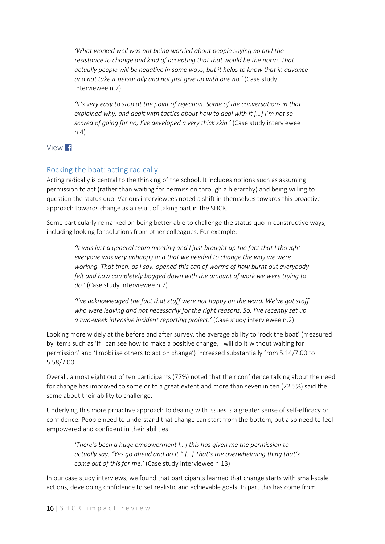*'What worked well was not being worried about people saying no and the resistance to change and kind of accepting that that would be the norm. That actually people will be negative in some ways, but it helps to know that in advance and not take it personally and not just give up with one no.'* (Case study interviewee n.7)

*'It's very easy to stop at the point of rejection. Some of the conversations in that explained why, and dealt with tactics about how to deal with it […] I'm not so scared of going for no; I've developed a very thick skin.'* (Case study interviewee n.4)



### Rocking the boat: acting radically

Acting radically is central to the thinking of the school. It includes notions such as assuming permission to act (rather than waiting for permission through a hierarchy) and being willing to question the status quo. Various interviewees noted a shift in themselves towards this proactive approach towards change as a result of taking part in the SHCR.

Some particularly remarked on being better able to challenge the status quo in constructive ways, including looking for solutions from other colleagues. For example:

*'It was just a general team meeting and I just brought up the fact that I thought everyone was very unhappy and that we needed to change the way we were working. That then, as I say, opened this can of worms of how burnt out everybody felt and how completely bogged down with the amount of work we were trying to do.'* (Case study interviewee n.7)

*'I've acknowledged the fact that staff were not happy on the ward. We've got staff who were leaving and not necessarily for the right reasons. So, I've recently set up a two-week intensive incident reporting project.'* (Case study interviewee n.2)

Looking more widely at the before and after survey, the average ability to 'rock the boat' (measured by items such as 'If I can see how to make a positive change, I will do it without waiting for permission' and 'I mobilise others to act on change') increased substantially from 5.14/7.00 to 5.58/7.00.

Overall, almost eight out of ten participants (77%) noted that their confidence talking about the need for change has improved to some or to a great extent and more than seven in ten (72.5%) said the same about their ability to challenge.

Underlying this more proactive approach to dealing with issues is a greater sense of self-efficacy or confidence. People need to understand that change can start from the bottom, but also need to feel empowered and confident in their abilities:

*'There's been a huge empowerment […] this has given me the permission to actually say, "Yes go ahead and do it." […] That's the overwhelming thing that's come out of this for me.'* (Case study interviewee n.13)

In our case study interviews, we found that participants learned that change starts with small-scale actions, developing confidence to set realistic and achievable goals. In part this has come from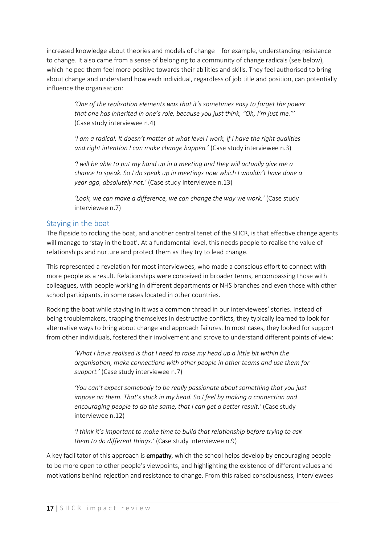increased knowledge about theories and models of change – for example, understanding resistance to change. It also came from a sense of belonging to a community of change radicals (see below), which helped them feel more positive towards their abilities and skills. They feel authorised to bring about change and understand how each individual, regardless of job title and position, can potentially influence the organisation:

*'One of the realisation elements was that it's sometimes easy to forget the power that one has inherited in one's role, because you just think, "Oh, I'm just me."'* (Case study interviewee n.4)

*'I am a radical. It doesn't matter at what level I work, if I have the right qualities and right intention I can make change happen.'* (Case study interviewee n.3)

*'I will be able to put my hand up in a meeting and they will actually give me a chance to speak. So I do speak up in meetings now which I wouldn't have done a year ago, absolutely not.'* (Case study interviewee n.13)

*'Look, we can make a difference, we can change the way we work.'* (Case study interviewee n.7)

### Staying in the boat

The flipside to rocking the boat, and another central tenet of the SHCR, is that effective change agents will manage to 'stay in the boat'. At a fundamental level, this needs people to realise the value of relationships and nurture and protect them as they try to lead change.

This represented a revelation for most interviewees, who made a conscious effort to connect with more people as a result. Relationships were conceived in broader terms, encompassing those with colleagues, with people working in different departments or NHS branches and even those with other school participants, in some cases located in other countries.

Rocking the boat while staying in it was a common thread in our interviewees' stories. Instead of being troublemakers, trapping themselves in destructive conflicts, they typically learned to look for alternative ways to bring about change and approach failures. In most cases, they looked for support from other individuals, fostered their involvement and strove to understand different points of view:

*'What I have realised is that I need to raise my head up a little bit within the organisation, make connections with other people in other teams and use them for support.'* (Case study interviewee n.7)

*'You can't expect somebody to be really passionate about something that you just impose on them. That's stuck in my head. So I feel by making a connection and encouraging people to do the same, that I can get a better result.'* (Case study interviewee n.12)

*'I think it's important to make time to build that relationship before trying to ask them to do different things.'* (Case study interviewee n.9)

A key facilitator of this approach is empathy, which the school helps develop by encouraging people to be more open to other people's viewpoints, and highlighting the existence of different values and motivations behind rejection and resistance to change. From this raised consciousness, interviewees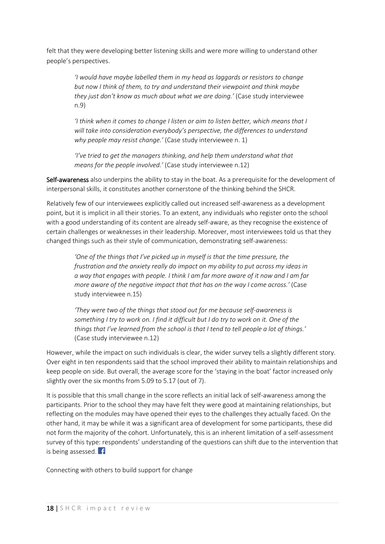felt that they were developing better listening skills and were more willing to understand other people's perspectives.

> *'I would have maybe labelled them in my head as laggards or resistors to change but now I think of them, to try and understand their viewpoint and think maybe they just don't know as much about what we are doing.'* (Case study interviewee n.9)

*'I think when it comes to change I listen or aim to listen better, which means that I will take into consideration everybody's perspective, the differences to understand why people may resist change.'* (Case study interviewee n. 1)

*'I've tried to get the managers thinking, and help them understand what that means for the people involved.'* (Case study interviewee n.12)

Self-awareness also underpins the ability to stay in the boat. As a prerequisite for the development of interpersonal skills, it constitutes another cornerstone of the thinking behind the SHCR.

Relatively few of our interviewees explicitly called out increased self-awareness as a development point, but it is implicit in all their stories. To an extent, any individuals who register onto the school with a good understanding of its content are already self-aware, as they recognise the existence of certain challenges or weaknesses in their leadership. Moreover, most interviewees told us that they changed things such as their style of communication, demonstrating self-awareness:

*'One of the things that I've picked up in myself is that the time pressure, the frustration and the anxiety really do impact on my ability to put across my ideas in a way that engages with people. I think I am far more aware of it now and I am far more aware of the negative impact that that has on the way I come across.'* (Case study interviewee n.15)

*'They were two of the things that stood out for me because self-awareness is something I try to work on. I find it difficult but I do try to work on it. One of the things that I've learned from the school is that I tend to tell people a lot of things.'* (Case study interviewee n.12)

However, while the impact on such individuals is clear, the wider survey tells a slightly different story. Over eight in ten respondents said that the school improved their ability to maintain relationships and keep people on side. But overall, the average score for the 'staying in the boat' factor increased only slightly over the six months from 5.09 to 5.17 (out of 7).

It is possible that this small change in the score reflects an initial lack of self-awareness among the participants. Prior to the school they may have felt they were good at maintaining relationships, but reflecting on the modules may have opened their eyes to the challenges they actually faced. On the other hand, it may be while it was a significant area of development for some participants, these did not form the majority of the cohort. Unfortunately, this is an inherent limitation of a self-assessment survey of this type: respondents' understanding of the questions can shift due to the intervention that is being assessed. f

Connecting with others to build support for change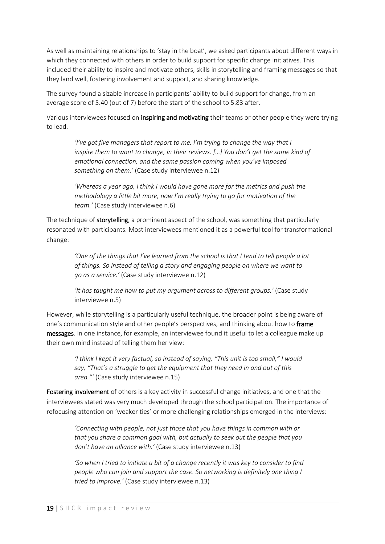As well as maintaining relationships to 'stay in the boat', we asked participants about different ways in which they connected with others in order to build support for specific change initiatives. This included their ability to inspire and motivate others, skills in storytelling and framing messages so that they land well, fostering involvement and support, and sharing knowledge.

The survey found a sizable increase in participants' ability to build support for change, from an average score of 5.40 (out of 7) before the start of the school to 5.83 after.

Various interviewees focused on **inspiring and motivating** their teams or other people they were trying to lead.

*'I've got five managers that report to me. I'm trying to change the way that I inspire them to want to change, in their reviews. […] You don't get the same kind of emotional connection, and the same passion coming when you've imposed something on them.'* (Case study interviewee n.12)

*'Whereas a year ago, I think I would have gone more for the metrics and push the methodology a little bit more, now I'm really trying to go for motivation of the team.'* (Case study interviewee n.6)

The technique of storytelling, a prominent aspect of the school, was something that particularly resonated with participants. Most interviewees mentioned it as a powerful tool for transformational change:

*'One of the things that I've learned from the school is that I tend to tell people a lot of things. So instead of telling a story and engaging people on where we want to go as a service.'* (Case study interviewee n.12)

*'It has taught me how to put my argument across to different groups.'* (Case study interviewee n.5)

However, while storytelling is a particularly useful technique, the broader point is being aware of one's communication style and other people's perspectives, and thinking about how to frame messages. In one instance, for example, an interviewee found it useful to let a colleague make up their own mind instead of telling them her view:

> *'I think I kept it very factual, so instead of saying, "This unit is too small," I would say, "That's a struggle to get the equipment that they need in and out of this area."'* (Case study interviewee n.15)

Fostering involvement of others is a key activity in successful change initiatives, and one that the interviewees stated was very much developed through the school participation. The importance of refocusing attention on 'weaker ties' or more challenging relationships emerged in the interviews:

*'Connecting with people, not just those that you have things in common with or that you share a common goal with, but actually to seek out the people that you don't have an alliance with.'* (Case study interviewee n.13)

*'So when I tried to initiate a bit of a change recently it was key to consider to find people who can join and support the case. So networking is definitely one thing I tried to improve.'* (Case study interviewee n.13)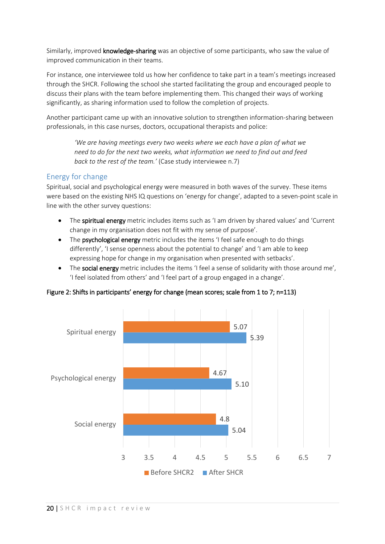Similarly, improved knowledge-sharing was an objective of some participants, who saw the value of improved communication in their teams.

For instance, one interviewee told us how her confidence to take part in a team's meetings increased through the SHCR. Following the school she started facilitating the group and encouraged people to discuss their plans with the team before implementing them. This changed their ways of working significantly, as sharing information used to follow the completion of projects.

Another participant came up with an innovative solution to strengthen information-sharing between professionals, in this case nurses, doctors, occupational therapists and police:

*'We are having meetings every two weeks where we each have a plan of what we need to do for the next two weeks, what information we need to find out and feed back to the rest of the team.'* (Case study interviewee n.7)

### Energy for change

Spiritual, social and psychological energy were measured in both waves of the survey. These items were based on the existing NHS IQ questions on 'energy for change', adapted to a seven-point scale in line with the other survey questions:

- The spiritual energy metric includes items such as 'I am driven by shared values' and 'Current change in my organisation does not fit with my sense of purpose'.
- The psychological energy metric includes the items 'I feel safe enough to do things differently', 'I sense openness about the potential to change' and 'I am able to keep expressing hope for change in my organisation when presented with setbacks'.
- The **social energy** metric includes the items 'I feel a sense of solidarity with those around me'. 'I feel isolated from others' and 'I feel part of a group engaged in a change'.

Figure 2: Shifts in participants' energy for change (mean scores; scale from 1 to 7; n=113)

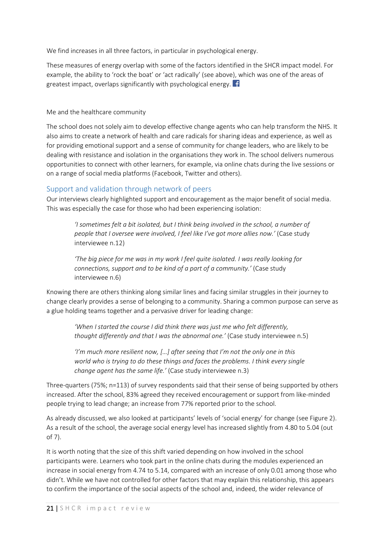We find increases in all three factors, in particular in psychological energy.

These measures of energy overlap with some of the factors identified in the SHCR impact model. For example, the ability to 'rock the boat' or 'act radically' (see above), which was one of the areas of greatest impact, overlaps significantly with psychological energy.  $\mathbf{f}$ 

<span id="page-20-0"></span>Me and the healthcare community

The school does not solely aim to develop effective change agents who can help transform the NHS. It also aims to create a network of health and care radicals for sharing ideas and experience, as well as for providing emotional support and a sense of community for change leaders, who are likely to be dealing with resistance and isolation in the organisations they work in. The school delivers numerous opportunities to connect with other learners, for example, via online chats during the live sessions or on a range of social media platforms (Facebook, Twitter and others).

### Support and validation through network of peers

Our interviews clearly highlighted support and encouragement as the major benefit of social media. This was especially the case for those who had been experiencing isolation:

*'I sometimes felt a bit isolated, but I think being involved in the school, a number of people that I oversee were involved, I feel like I've got more allies now.'* (Case study interviewee n.12)

*'The big piece for me was in my work I feel quite isolated. I was really looking for connections, support and to be kind of a part of a community.'* (Case study interviewee n.6)

Knowing there are others thinking along similar lines and facing similar struggles in their journey to change clearly provides a sense of belonging to a community. Sharing a common purpose can serve as a glue holding teams together and a pervasive driver for leading change:

*'When I started the course I did think there was just me who felt differently, thought differently and that I was the abnormal one.'* (Case study interviewee n.5)

*'I'm much more resilient now, […] after seeing that I'm not the only one in this world who is trying to do these things and faces the problems. I think every single change agent has the same life.'* (Case study interviewee n.3)

Three-quarters (75%; n=113) of survey respondents said that their sense of being supported by others increased. After the school, 83% agreed they received encouragement or support from like-minded people trying to lead change; an increase from 77% reported prior to the school.

As already discussed, we also looked at participants' levels of 'social energy' for change (see Figure 2). As a result of the school, the average social energy level has increased slightly from 4.80 to 5.04 (out of 7).

It is worth noting that the size of this shift varied depending on how involved in the school participants were. Learners who took part in the online chats during the modules experienced an increase in social energy from 4.74 to 5.14, compared with an increase of only 0.01 among those who didn't. While we have not controlled for other factors that may explain this relationship, this appears to confirm the importance of the social aspects of the school and, indeed, the wider relevance of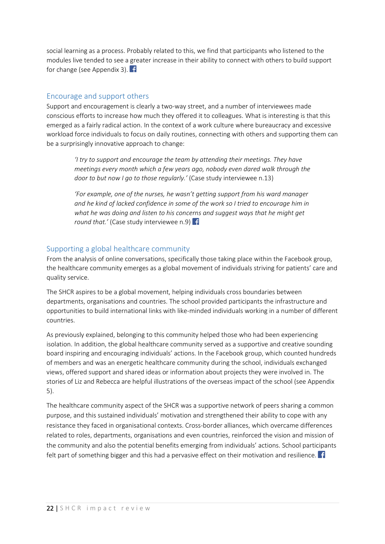social learning as a process. Probably related to this, we find that participants who listened to the modules live tended to see a greater increase in their ability to connect with others to build support for change (see Appendix 3).

### Encourage and support others

Support and encouragement is clearly a two-way street, and a number of interviewees made conscious efforts to increase how much they offered it to colleagues. What is interesting is that this emerged as a fairly radical action. In the context of a work culture where bureaucracy and excessive workload force individuals to focus on daily routines, connecting with others and supporting them can be a surprisingly innovative approach to change:

*'I try to support and encourage the team by attending their meetings. They have meetings every month which a few years ago, nobody even dared walk through the door to but now I go to those regularly.'* (Case study interviewee n.13)

*'For example, one of the nurses, he wasn't getting support from his ward manager and he kind of lacked confidence in some of the work so I tried to encourage him in what he was doing and listen to his concerns and suggest ways that he might get round that.'* (Case study interviewee n.9) **f** 

### Supporting a global healthcare community

From the analysis of online conversations, specifically those taking place within the Facebook group, the healthcare community emerges as a global movement of individuals striving for patients' care and quality service.

The SHCR aspires to be a global movement, helping individuals cross boundaries between departments, organisations and countries. The school provided participants the infrastructure and opportunities to build international links with like-minded individuals working in a number of different countries.

As previously explained, belonging to this community helped those who had been experiencing isolation. In addition, the global healthcare community served as a supportive and creative sounding board inspiring and encouraging individuals' actions. In the Facebook group, which counted hundreds of members and was an energetic healthcare community during the school, individuals exchanged views, offered support and shared ideas or information about projects they were involved in. The stories of Liz and Rebecca are helpful illustrations of the overseas impact of the school (see Appendix 5).

The healthcare community aspect of the SHCR was a supportive network of peers sharing a common purpose, and this sustained individuals' motivation and strengthened their ability to cope with any resistance they faced in organisational contexts. Cross-border alliances, which overcame differences related to roles, departments, organisations and even countries, reinforced the vision and mission of the community and also the potential benefits emerging from individuals' actions. School participants felt part of something bigger and this had a pervasive effect on their motivation and resilience.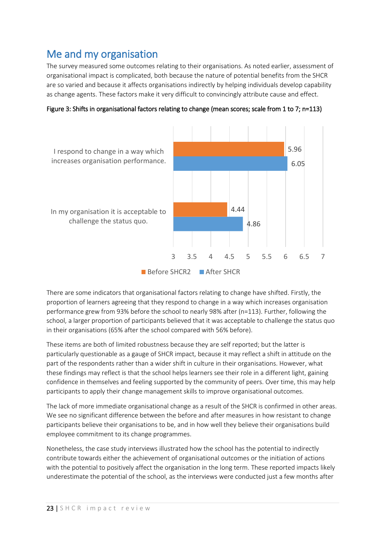<span id="page-22-0"></span>Me and my organisation<br>The survey measured some outcomes relating to their organisations. As noted earlier, assessment of organisational impact is complicated, both because the nature of potential benefits from the SHCR are so varied and because it affects organisations indirectly by helping individuals develop capability as change agents. These factors make it very difficult to convincingly attribute cause and effect.



Figure 3: Shifts in organisational factors relating to change (mean scores; scale from 1 to 7; n=113)

There are some indicators that organisational factors relating to change have shifted. Firstly, the proportion of learners agreeing that they respond to change in a way which increases organisation performance grew from 93% before the school to nearly 98% after (n=113). Further, following the school, a larger proportion of participants believed that it was acceptable to challenge the status quo in their organisations (65% after the school compared with 56% before).

These items are both of limited robustness because they are self reported; but the latter is particularly questionable as a gauge of SHCR impact, because it may reflect a shift in attitude on the part of the respondents rather than a wider shift in culture in their organisations. However, what these findings may reflect is that the school helps learners see their role in a different light, gaining confidence in themselves and feeling supported by the community of peers. Over time, this may help participants to apply their change management skills to improve organisational outcomes.

The lack of more immediate organisational change as a result of the SHCR is confirmed in other areas. We see no significant difference between the before and after measures in how resistant to change participants believe their organisations to be, and in how well they believe their organisations build employee commitment to its change programmes.

Nonetheless, the case study interviews illustrated how the school has the potential to indirectly contribute towards either the achievement of organisational outcomes or the initiation of actions with the potential to positively affect the organisation in the long term. These reported impacts likely underestimate the potential of the school, as the interviews were conducted just a few months after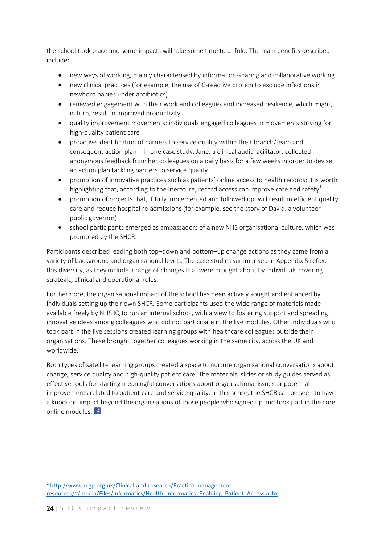the school took place and some impacts will take some time to unfold. The main benefits described include:

- new ways of working, mainly characterised by information-sharing and collaborative working
- new clinical practices (for example, the use of C-reactive protein to exclude infections in newborn babies under antibiotics)
- renewed engagement with their work and colleagues and increased resilience, which might, in turn, result in improved productivity
- quality improvement movements: individuals engaged colleagues in movements striving for high-quality patient care
- proactive identification of barriers to service quality within their branch/team and consequent action plan – in one case study, Jane, a clinical audit facilitator, collected anonymous feedback from her colleagues on a daily basis for a few weeks in order to devise an action plan tackling barriers to service quality
- promotion of innovative practices such as patients' online access to health records; it is worth highlighting that, according to the literature, record access can improve care and safety<sup>[1](#page-23-0)</sup>
- promotion of projects that, if fully implemented and followed up, will result in efficient quality care and reduce hospital re-admissions (for example, see the story of David, a volunteer public governor)
- school participants emerged as ambassadors of a new NHS organisational culture, which was promoted by the SHCR.

Participants described leading both top–down and bottom–up change actions as they came from a variety of background and organisational levels. The case studies summarised in Appendix 5 reflect this diversity, as they include a range of changes that were brought about by individuals covering strategic, clinical and operational roles.

Furthermore, the organisational impact of the school has been actively sought and enhanced by individuals setting up their own SHCR. Some participants used the wide range of materials made available freely by NHS IQ to run an internal school, with a view to fostering support and spreading innovative ideas among colleagues who did not participate in the live modules. Other individuals who took part in the live sessions created learning groups with healthcare colleagues outside their organisations. These brought together colleagues working in the same city, across the UK and worldwide.

Both types of satellite learning groups created a space to nurture organisational conversations about change, service quality and high-quality patient care. The materials, slides or study guides served as effective tools for starting meaningful conversations about organisational issues or potential improvements related to patient care and service quality. In this sense, the SHCR can be seen to have a knock-on impact beyond the organisations of those people who signed up and took part in the core online modules. **F** 

<u>.</u>

<span id="page-23-0"></span><sup>1</sup> [http://www.rcgp.org.uk/Clinical-and-research/Practice-management](http://www.rcgp.org.uk/Clinical-and-research/Practice-management-resources/%7E/media/Files/Informatics/Health_Informatics_Enabling_Patient_Access.ashx)[resources/~/media/Files/Informatics/Health\\_Informatics\\_Enabling\\_Patient\\_Access.ashx](http://www.rcgp.org.uk/Clinical-and-research/Practice-management-resources/%7E/media/Files/Informatics/Health_Informatics_Enabling_Patient_Access.ashx)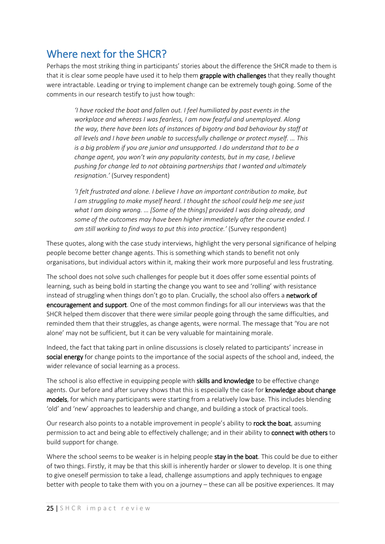<span id="page-24-0"></span>Where next for the SHCR?<br>Perhaps the most striking thing in participants' stories about the difference the SHCR made to them is that it is clear some people have used it to help them **grapple with challenges** that they really thought were intractable. Leading or trying to implement change can be extremely tough going. Some of the comments in our research testify to just how tough:

*'I have rocked the boat and fallen out. I feel humiliated by past events in the workplace and whereas I was fearless, I am now fearful and unemployed. Along the way, there have been lots of instances of bigotry and bad behaviour by staff at all levels and I have been unable to successfully challenge or protect myself. … This is a big problem if you are junior and unsupported. I do understand that to be a change agent, you won't win any popularity contests, but in my case, I believe pushing for change led to not obtaining partnerships that I wanted and ultimately resignation.'* (Survey respondent)

*'I felt frustrated and alone. I believe I have an important contribution to make, but I am struggling to make myself heard. I thought the school could help me see just what I am doing wrong. … [Some of the things] provided I was doing already, and some of the outcomes may have been higher immediately after the course ended. I am still working to find ways to put this into practice.'* (Survey respondent)

These quotes, along with the case study interviews, highlight the very personal significance of helping people become better change agents. This is something which stands to benefit not only organisations, but individual actors within it, making their work more purposeful and less frustrating.

The school does not solve such challenges for people but it does offer some essential points of learning, such as being bold in starting the change you want to see and 'rolling' with resistance instead of struggling when things don't go to plan. Crucially, the school also offers a network of encouragement and support. One of the most common findings for all our interviews was that the SHCR helped them discover that there were similar people going through the same difficulties, and reminded them that their struggles, as change agents, were normal. The message that 'You are not alone' may not be sufficient, but it can be very valuable for maintaining morale.

Indeed, the fact that taking part in online discussions is closely related to participants' increase in social energy for change points to the importance of the social aspects of the school and, indeed, the wider relevance of social learning as a process.

The school is also effective in equipping people with **skills and knowledge** to be effective change agents. Our before and after survey shows that this is especially the case for **knowledge about change** models, for which many participants were starting from a relatively low base. This includes blending 'old' and 'new' approaches to leadership and change, and building a stock of practical tools.

Our research also points to a notable improvement in people's ability to rock the boat, assuming permission to act and being able to effectively challenge; and in their ability to connect with others to build support for change.

Where the school seems to be weaker is in helping people stay in the boat. This could be due to either of two things. Firstly, it may be that this skill is inherently harder or slower to develop. It is one thing to give oneself permission to take a lead, challenge assumptions and apply techniques to engage better with people to take them with you on a journey – these can all be positive experiences. It may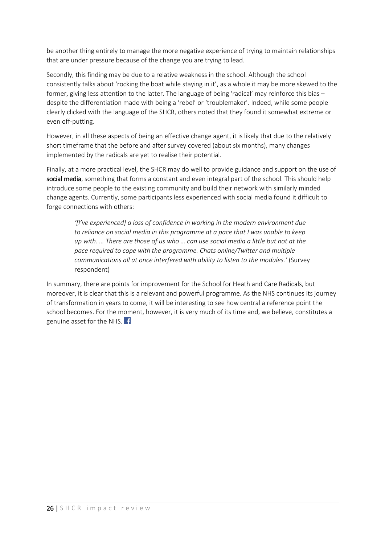be another thing entirely to manage the more negative experience of trying to maintain relationships that are under pressure because of the change you are trying to lead.

Secondly, this finding may be due to a relative weakness in the school. Although the school consistently talks about 'rocking the boat while staying in it', as a whole it may be more skewed to the former, giving less attention to the latter. The language of being 'radical' may reinforce this bias – despite the differentiation made with being a 'rebel' or 'troublemaker'. Indeed, while some people clearly clicked with the language of the SHCR, others noted that they found it somewhat extreme or even off-putting.

However, in all these aspects of being an effective change agent, it is likely that due to the relatively short timeframe that the before and after survey covered (about six months), many changes implemented by the radicals are yet to realise their potential.

Finally, at a more practical level, the SHCR may do well to provide guidance and support on the use of social media, something that forms a constant and even integral part of the school. This should help introduce some people to the existing community and build their network with similarly minded change agents. Currently, some participants less experienced with social media found it difficult to forge connections with others:

*'[I've experienced] a loss of confidence in working in the modern environment due to reliance on social media in this programme at a pace that I was unable to keep up with. … There are those of us who … can use social media a little but not at the pace required to cope with the programme. Chats online/Twitter and multiple communications all at once interfered with ability to listen to the modules.'* (Survey respondent)

In summary, there are points for improvement for the School for Heath and Care Radicals, but moreover, it is clear that this is a relevant and powerful programme. As the NHS continues its journey of transformation in years to come, it will be interesting to see how central a reference point the school becomes. For the moment, however, it is very much of its time and, we believe, constitutes a genuine asset for the NHS.